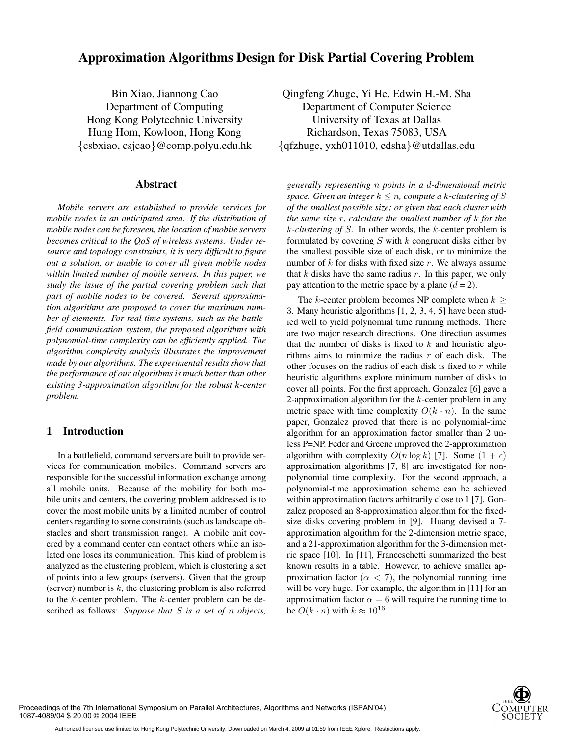# **Approximation Algorithms Design for Disk Partial Covering Problem**

Bin Xiao, Jiannong Cao Department of Computing Hong Kong Polytechnic University Hung Hom, Kowloon, Hong Kong {csbxiao, csjcao}@comp.polyu.edu.hk

## **Abstract**

*Mobile servers are established to provide services for mobile nodes in an anticipated area. If the distribution of mobile nodes can be foreseen, the location of mobile servers becomes critical to the QoS of wireless systems. Under resource and topology constraints, it is very difficult to figure out a solution, or unable to cover all given mobile nodes within limited number of mobile servers. In this paper, we study the issue of the partial covering problem such that part of mobile nodes to be covered. Several approximation algorithms are proposed to cover the maximum number of elements. For real time systems, such as the battlefield communication system, the proposed algorithms with polynomial-time complexity can be efficiently applied. The algorithm complexity analysis illustrates the improvement made by our algorithms. The experimental results show that the performance of our algorithms is much better than other existing 3-approximation algorithm for the robust* k*-center problem.*

## **1 Introduction**

In a battlefield, command servers are built to provide services for communication mobiles. Command servers are responsible for the successful information exchange among all mobile units. Because of the mobility for both mobile units and centers, the covering problem addressed is to cover the most mobile units by a limited number of control centers regarding to some constraints (such as landscape obstacles and short transmission range). A mobile unit covered by a command center can contact others while an isolated one loses its communication. This kind of problem is analyzed as the clustering problem, which is clustering a set of points into a few groups (servers). Given that the group (server) number is  $k$ , the clustering problem is also referred to the k-center problem. The k-center problem can be described as follows: *Suppose that* S *is a set of* n *objects,*

Qingfeng Zhuge, Yi He, Edwin H.-M. Sha Department of Computer Science University of Texas at Dallas Richardson, Texas 75083, USA {qfzhuge, yxh011010, edsha}@utdallas.edu

*generally representing* n *points in a* d*-dimensional metric space. Given an integer*  $k \leq n$ *, compute a k-clustering of* S *of the smallest possible size; or given that each cluster with the same size* r*, calculate the smallest number of* k *for the* k*-clustering of* S*.* In other words, the k-center problem is formulated by covering  $S$  with  $k$  congruent disks either by the smallest possible size of each disk, or to minimize the number of  $k$  for disks with fixed size  $r$ . We always assume that  $k$  disks have the same radius  $r$ . In this paper, we only pay attention to the metric space by a plane  $(d = 2)$ .

The k-center problem becomes NP complete when  $k \geq$ 3. Many heuristic algorithms [1, 2, 3, 4, 5] have been studied well to yield polynomial time running methods. There are two major research directions. One direction assumes that the number of disks is fixed to  $k$  and heuristic algorithms aims to minimize the radius  $r$  of each disk. The other focuses on the radius of each disk is fixed to  $r$  while heuristic algorithms explore minimum number of disks to cover all points. For the first approach, Gonzalez [6] gave a 2-approximation algorithm for the  $k$ -center problem in any metric space with time complexity  $O(k \cdot n)$ . In the same paper, Gonzalez proved that there is no polynomial-time algorithm for an approximation factor smaller than 2 unless P=NP. Feder and Greene improved the 2-approximation algorithm with complexity  $O(n \log k)$  [7]. Some  $(1 + \epsilon)$ approximation algorithms [7, 8] are investigated for nonpolynomial time complexity. For the second approach, a polynomial-time approximation scheme can be achieved within approximation factors arbitrarily close to 1 [7]. Gonzalez proposed an 8-approximation algorithm for the fixedsize disks covering problem in [9]. Huang devised a 7 approximation algorithm for the 2-dimension metric space, and a 21-approximation algorithm for the 3-dimension metric space [10]. In [11], Franceschetti summarized the best known results in a table. However, to achieve smaller approximation factor ( $\alpha$  < 7), the polynomial running time will be very huge. For example, the algorithm in [11] for an approximation factor  $\alpha = 6$  will require the running time to be  $O(k \cdot n)$  with  $k \approx 10^{16}$ .



Proceedings of the 7th International Symposium on Parallel Architectures, Algorithms and Networks (ISPAN'04) 1087-4089/04 \$ 20.00 © 2004 IEEE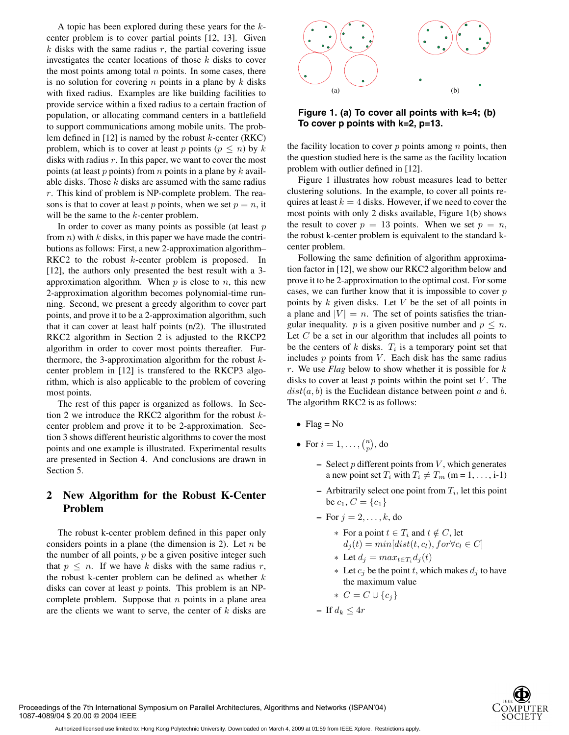A topic has been explored during these years for the kcenter problem is to cover partial points [12, 13]. Given  $k$  disks with the same radius  $r$ , the partial covering issue investigates the center locations of those  $k$  disks to cover the most points among total  $n$  points. In some cases, there is no solution for covering  $n$  points in a plane by  $k$  disks with fixed radius. Examples are like building facilities to provide service within a fixed radius to a certain fraction of population, or allocating command centers in a battlefield to support communications among mobile units. The problem defined in  $[12]$  is named by the robust  $k$ -center (RKC) problem, which is to cover at least p points ( $p \leq n$ ) by k disks with radius  $r$ . In this paper, we want to cover the most points (at least  $p$  points) from  $n$  points in a plane by  $k$  available disks. Those  $k$  disks are assumed with the same radius r. This kind of problem is NP-complete problem. The reasons is that to cover at least p points, when we set  $p = n$ , it will be the same to the *k*-center problem.

In order to cover as many points as possible (at least  $p$ from  $n$ ) with k disks, in this paper we have made the contributions as follows: First, a new 2-approximation algorithm– RKC2 to the robust  $k$ -center problem is proposed. In [12], the authors only presented the best result with a 3 approximation algorithm. When  $p$  is close to  $n$ , this new 2-approximation algorithm becomes polynomial-time running. Second, we present a greedy algorithm to cover part points, and prove it to be a 2-approximation algorithm, such that it can cover at least half points (n/2). The illustrated RKC2 algorithm in Section 2 is adjusted to the RKCP2 algorithm in order to cover most points thereafter. Furthermore, the 3-approximation algorithm for the robust  $k$ center problem in [12] is transfered to the RKCP3 algorithm, which is also applicable to the problem of covering most points.

The rest of this paper is organized as follows. In Section 2 we introduce the RKC2 algorithm for the robust  $k$ center problem and prove it to be 2-approximation. Section 3 shows different heuristic algorithms to cover the most points and one example is illustrated. Experimental results are presented in Section 4. And conclusions are drawn in Section 5.

## **2 New Algorithm for the Robust K-Center Problem**

The robust k-center problem defined in this paper only considers points in a plane (the dimension is 2). Let  $n$  be the number of all points,  $p$  be a given positive integer such that  $p \leq n$ . If we have k disks with the same radius r, the robust k-center problem can be defined as whether  $k$ disks can cover at least  $p$  points. This problem is an NPcomplete problem. Suppose that  $n$  points in a plane area are the clients we want to serve, the center of  $k$  disks are



**Figure 1. (a) To cover all points with k=4; (b) To cover p points with k=2, p=13.**

the facility location to cover  $p$  points among  $n$  points, then the question studied here is the same as the facility location problem with outlier defined in [12].

Figure 1 illustrates how robust measures lead to better clustering solutions. In the example, to cover all points requires at least  $k = 4$  disks. However, if we need to cover the most points with only 2 disks available, Figure 1(b) shows the result to cover  $p = 13$  points. When we set  $p = n$ , the robust k-center problem is equivalent to the standard kcenter problem.

Following the same definition of algorithm approximation factor in [12], we show our RKC2 algorithm below and prove it to be 2-approximation to the optimal cost. For some cases, we can further know that it is impossible to cover  $p$ points by  $k$  given disks. Let  $V$  be the set of all points in a plane and  $|V| = n$ . The set of points satisfies the triangular inequality. p is a given positive number and  $p \leq n$ . Let  $C$  be a set in our algorithm that includes all points to be the centers of  $k$  disks.  $T_i$  is a temporary point set that includes  $p$  points from  $V$ . Each disk has the same radius r. We use *Flag* below to show whether it is possible for k disks to cover at least  $p$  points within the point set  $V$ . The  $dist(a, b)$  is the Euclidean distance between point a and b. The algorithm RKC2 is as follows:

- Flag =  $No$
- For  $i = 1, \ldots, \binom{n}{p}$ , do
	- **–** Select p different points from V , which generates a new point set  $T_i$  with  $T_i \neq T_m$  (m = 1, ..., i-1)
	- **–** Arbitrarily select one point from  $T_i$ , let this point be  $c_1, C = \{c_1\}$
	- **–** For  $j = 2, ..., k$ , do
		- ∗ For a point  $t \in T_i$  and  $t \notin C$ , let  $d_j(t) = min[dist(t, c_l), for \forall c_l \in C]$
		- ∗ Let  $d_j = max_{t \in T_i} d_j(t)$
		- ∗ Let  $c_j$  be the point t, which makes  $d_j$  to have the maximum value

$$
\ast \ C = C \cup \{c_j\}
$$

$$
- \text{ If } d_k \leq 4r
$$



Proceedings of the 7th International Symposium on Parallel Architectures, Algorithms and Networks (ISPAN'04) 1087-4089/04 \$ 20.00 © 2004 IEEE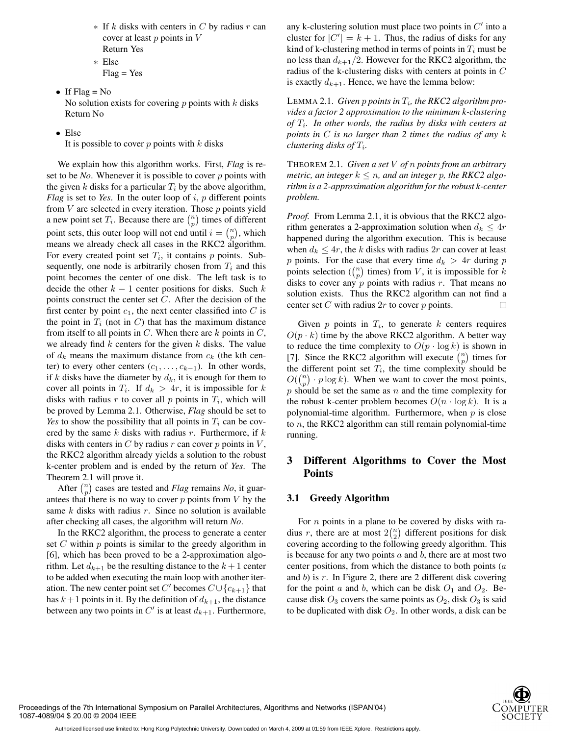- $*$  If k disks with centers in C by radius r can cover at least  $p$  points in  $V$ Return Yes
- ∗ Else  $Flag = Yes$
- If  $Flag = No$ No solution exists for covering  $p$  points with  $k$  disks Return No
- Else It is possible to cover  $p$  points with  $k$  disks

We explain how this algorithm works. First, *Flag* is reset to be *No*. Whenever it is possible to cover *p* points with the given k disks for a particular  $T_i$  by the above algorithm, *Flag* is set to *Yes*. In the outer loop of i, p different points from  $V$  are selected in every iteration. Those  $p$  points yield a new point set  $T_i$ . Because there are  $\binom{n}{p}$  times of different point sets, this outer loop will not end until  $i = \binom{n}{p}$ , which<br>means we already check all cases in the RKC2 algorithm means we already check all cases in the RKC2 algorithm. For every created point set  $T_i$ , it contains  $p$  points. Subsequently, one node is arbitrarily chosen from  $T_i$  and this point becomes the center of one disk. The left task is to decide the other  $k - 1$  center positions for disks. Such k points construct the center set C. After the decision of the first center by point  $c_1$ , the next center classified into  $C$  is the point in  $T_i$  (not in C) that has the maximum distance from itself to all points in  $C$ . When there are  $k$  points in  $C$ , we already find  $k$  centers for the given  $k$  disks. The value of  $d_k$  means the maximum distance from  $c_k$  (the kth center) to every other centers  $(c_1, \ldots, c_{k-1})$ . In other words, if k disks have the diameter by  $d_k$ , it is enough for them to cover all points in  $T_i$ . If  $d_k > 4r$ , it is impossible for k disks with radius r to cover all p points in  $T_i$ , which will be proved by Lemma 2.1. Otherwise, *Flag* should be set to *Yes* to show the possibility that all points in  $T_i$  can be covered by the same  $k$  disks with radius  $r$ . Furthermore, if  $k$ disks with centers in  $C$  by radius  $r$  can cover  $p$  points in  $V$ , the RKC2 algorithm already yields a solution to the robust k-center problem and is ended by the return of *Yes*. The Theorem 2.1 will prove it.

After  $\binom{n}{p}$  cases are tested and *Flag* remains *No*, it guarantees that there is no way to cover  $p$  points from  $V$  by the same  $k$  disks with radius  $r$ . Since no solution is available after checking all cases, the algorithm will return *No*.

In the RKC2 algorithm, the process to generate a center set  $C$  within  $p$  points is similar to the greedy algorithm in [6], which has been proved to be a 2-approximation algorithm. Let  $d_{k+1}$  be the resulting distance to the  $k+1$  center to be added when executing the main loop with another iteration. The new center point set C' becomes  $C \cup \{c_{k+1}\}\$ that has  $k+1$  points in it. By the definition of  $d_{k+1}$ , the distance between any two points in C' is at least  $d_{k+1}$ . Furthermore,

any k-clustering solution must place two points in  $C'$  into a cluster for  $|C'| = k + 1$ . Thus, the radius of disks for any kind of k-clustering method in terms of points in T<sub>r</sub> must be kind of k-clustering method in terms of points in  $T_i$  must be no less than  $d_{k+1}/2$ . However for the RKC2 algorithm, the radius of the k-clustering disks with centers at points in C is exactly  $d_{k+1}$ . Hence, we have the lemma below:

LEMMA 2.1. *Given p points in*  $T_i$ *, the RKC2 algorithm provides a factor 2 approximation to the minimum k-clustering of*  $T_i$ . In other words, the radius by disks with centers at *points in* C *is no larger than 2 times the radius of any* k *clustering disks of* Ti*.*

THEOREM 2.1. *Given a set* V *of* n *points from an arbitrary metric, an integer*  $k \leq n$ *, and an integer p, the RKC2 algorithm is a 2-approximation algorithm for the robust k-center problem.*

*Proof.* From Lemma 2.1, it is obvious that the RKC2 algorithm generates a 2-approximation solution when  $d_k \leq 4r$ happened during the algorithm execution. This is because when  $d_k \leq 4r$ , the k disks with radius  $2r$  can cover at least p points. For the case that every time  $d_k > 4r$  during p points selection  $\binom{n}{p}$  times) from V, it is impossible for k disks to cover any  $p$  points with radius  $r$ . That means no solution exists. Thus the RKC2 algorithm can not find a center set  $C$  with radius  $2r$  to cover  $p$  points.  $\Box$ 

Given  $p$  points in  $T_i$ , to generate  $k$  centers requires  $O(p \cdot k)$  time by the above RKC2 algorithm. A better way to reduce the time complexity to  $O(p \cdot \log k)$  is shown in [7]. Since the RKC2 algorithm will execute  $\binom{n}{p}$  times for the different point set  $T_i$ , the time complexity should be  $O(\binom{n}{p} \cdot p \log k)$ . When we want to cover the most points,  $p$  should be set the same as  $n$  and the time complexity for the robust k-center problem becomes  $O(n \cdot \log k)$ . It is a polynomial-time algorithm. Furthermore, when  $p$  is close to  $n$ , the RKC2 algorithm can still remain polynomial-time running.

## **3 Different Algorithms to Cover the Most Points**

## **3.1 Greedy Algorithm**

For  $n$  points in a plane to be covered by disks with radius r, there are at most  $2\binom{n}{2}$  different positions for disk<br>covering according to the following greedy algorithm. This covering according to the following greedy algorithm. This is because for any two points  $a$  and  $b$ , there are at most two center positions, from which the distance to both points  $(a)$ and  $b$ ) is  $r$ . In Figure 2, there are 2 different disk covering for the point a and b, which can be disk  $O_1$  and  $O_2$ . Because disk  $O_3$  covers the same points as  $O_2$ , disk  $O_3$  is said to be duplicated with disk  $O_2$ . In other words, a disk can be

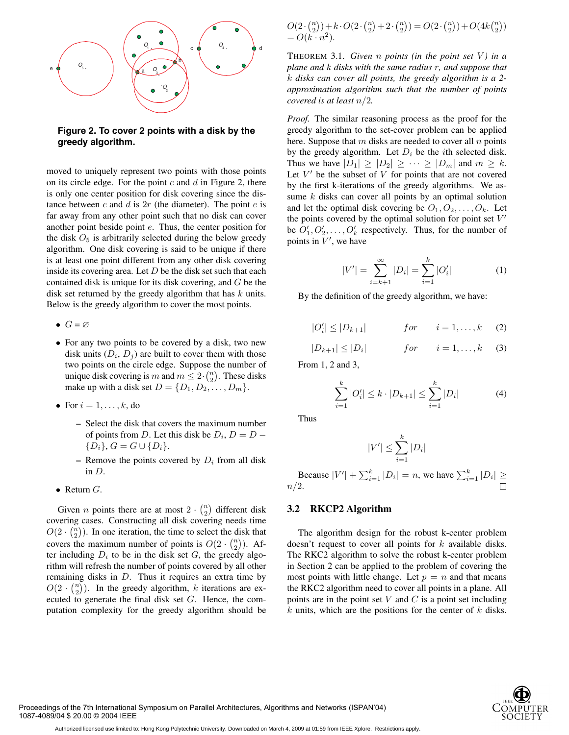

**Figure 2. To cover 2 points with a disk by the greedy algorithm.**

moved to uniquely represent two points with those points on its circle edge. For the point  $c$  and  $d$  in Figure 2, there is only one center position for disk covering since the distance between  $c$  and  $d$  is  $2r$  (the diameter). The point  $e$  is far away from any other point such that no disk can cover another point beside point e. Thus, the center position for the disk  $O<sub>5</sub>$  is arbitrarily selected during the below greedy algorithm. One disk covering is said to be unique if there is at least one point different from any other disk covering inside its covering area. Let  $D$  be the disk set such that each contained disk is unique for its disk covering, and G be the disk set returned by the greedy algorithm that has  $k$  units. Below is the greedy algorithm to cover the most points.

- $G = \emptyset$
- For any two points to be covered by a disk, two new disk units  $(D_i, D_j)$  are built to cover them with those two points on the circle edge. Suppose the number of unique disk covering is m and  $m \leq 2 \cdot {n \choose 2}$ . These disks<br>make un with a disk set  $D = I D_1 D_2 D_3$ make up with a disk set  $D = \{D_1, D_2, \ldots, D_m\}.$
- For  $i = 1, \ldots, k$ , do
	- **–** Select the disk that covers the maximum number of points from D. Let this disk be  $D_i$ ,  $D = D {D_i}, G = G \cup {D_i}.$
	- **–** Remove the points covered by  $D_i$  from all disk in D.
- Return  $G$ .

Given *n* points there are at most  $2 \cdot {n \choose 2}$  different disk<br>reginal cases. Constructing all disk covering needs time covering cases. Constructing all disk covering needs time  $O(2 \cdot {n \choose 2})$ . In one iteration, the time to select the disk that covers the maximum number of points is  $O(2 \cdot {n \choose 2})$ . After including D, to be in the disk set G, the greedy algoter including  $D_i$  to be in the disk set G, the greedy algorithm will refresh the number of points covered by all other remaining disks in  $D$ . Thus it requires an extra time by  $O(2 \cdot {n \choose 2})$ . In the greedy algorithm, k iterations are ex-<br>equited to generate the final disk set G. Hence, the comecuted to generate the final disk set  $G$ . Hence, the computation complexity for the greedy algorithm should be

$$
O(2 \cdot {n \choose 2}) + k \cdot O(2 \cdot {n \choose 2} + 2 \cdot {n \choose 2}) = O(2 \cdot {n \choose 2}) + O(4k{n \choose 2})
$$
  
=  $O(k \cdot n^2)$ .

THEOREM 3.1. *Given*  $n$  *points (in the point set*  $V$ *) in a plane and* k *disks with the same radius* r*, and suppose that* k *disks can cover all points, the greedy algorithm is a 2 approximation algorithm such that the number of points covered is at least* n/2*.*

*Proof.* The similar reasoning process as the proof for the greedy algorithm to the set-cover problem can be applied here. Suppose that  $m$  disks are needed to cover all  $n$  points by the greedy algorithm. Let  $D_i$  be the *i*th selected disk. Thus we have  $|D_1| \geq |D_2| \geq \cdots \geq |D_m|$  and  $m \geq k$ . Let  $V'$  be the subset of  $V$  for points that are not covered by the first k-iterations of the greedy algorithms. We assume  $k$  disks can cover all points by an optimal solution and let the optimal disk covering be  $O_1, O_2, \ldots, O_k$ . Let the points covered by the optimal solution for point set  $V'$ be  $O'_1, O'_2, \ldots, O'_k$  respectively. Thus, for the number of points in  $V'$ , we have

$$
|V'| = \sum_{i=k+1}^{\infty} |D_i| = \sum_{i=1}^{k} |O'_i|
$$
 (1)

By the definition of the greedy algorithm, we have:

$$
|O_i'| \le |D_{k+1}| \qquad \qquad for \qquad i = 1, \dots, k \qquad (2)
$$

$$
|D_{k+1}| \le |D_i| \qquad \qquad for \qquad i = 1, \dots, k \qquad (3)
$$

From 1, 2 and 3,

$$
\sum_{i=1}^{k} |O'_i| \le k \cdot |D_{k+1}| \le \sum_{i=1}^{k} |D_i| \tag{4}
$$

Thus

$$
|V'|\leq \sum_{i=1}^k |D_i|
$$

Because  $|V'| + \sum_{i=1}^{k} |D_i| = n$ , we have  $\sum_{i=1}^{k} |D_i| \ge$  $n/2$ .

#### **3.2 RKCP2 Algorithm**

The algorithm design for the robust k-center problem doesn't request to cover all points for  $k$  available disks. The RKC2 algorithm to solve the robust k-center problem in Section 2 can be applied to the problem of covering the most points with little change. Let  $p = n$  and that means the RKC2 algorithm need to cover all points in a plane. All points are in the point set  $V$  and  $C$  is a point set including  $k$  units, which are the positions for the center of  $k$  disks.

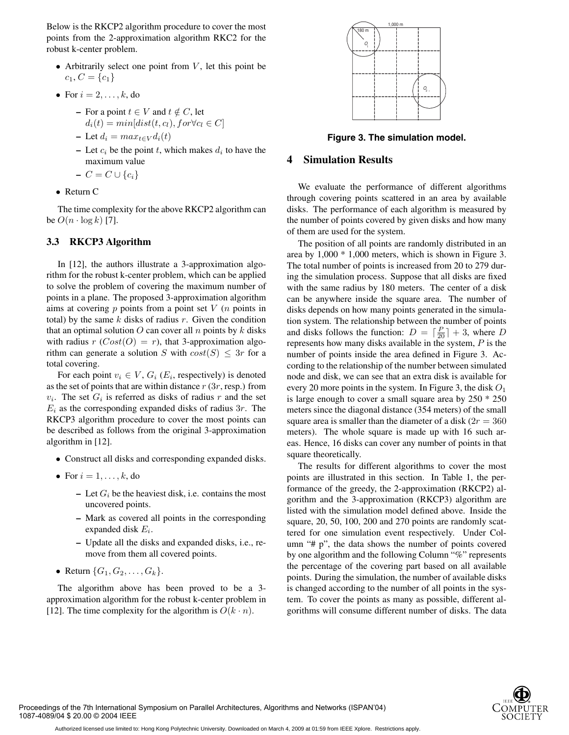Below is the RKCP2 algorithm procedure to cover the most points from the 2-approximation algorithm RKC2 for the robust k-center problem.

- Arbitrarily select one point from  $V$ , let this point be  $c_1, C = \{c_1\}$
- For  $i = 2, \ldots, k$ , do
	- **–** For a point  $t \in V$  and  $t \notin C$ , let  $d_i(t) = min[dist(t, c_l), for \forall c_l \in C]$
	- **–** Let  $d_i = max_{t \in V} d_i(t)$
	- **–** Let  $c_i$  be the point t, which makes  $d_i$  to have the maximum value
	- **−**  $C = C \cup \{c_i\}$
- Return C

The time complexity for the above RKCP2 algorithm can be  $O(n \cdot \log k)$  [7].

### **3.3 RKCP3 Algorithm**

In [12], the authors illustrate a 3-approximation algorithm for the robust k-center problem, which can be applied to solve the problem of covering the maximum number of points in a plane. The proposed 3-approximation algorithm aims at covering  $p$  points from a point set  $V(n)$  points in total) by the same  $k$  disks of radius  $r$ . Given the condition that an optimal solution  $O$  can cover all  $n$  points by  $k$  disks with radius  $r (Cost(O) = r)$ , that 3-approximation algorithm can generate a solution S with  $cost(S) \leq 3r$  for a total covering.

For each point  $v_i \in V$ ,  $G_i$  ( $E_i$ , respectively) is denoted as the set of points that are within distance  $r(3r, resp.)$  from  $v_i$ . The set  $G_i$  is referred as disks of radius r and the set  $E_i$  as the corresponding expanded disks of radius 3r. The RKCP3 algorithm procedure to cover the most points can be described as follows from the original 3-approximation algorithm in [12].

- Construct all disks and corresponding expanded disks.
- For  $i = 1, \ldots, k$ , do
	- $\blacksquare$  Let  $G_i$  be the heaviest disk, i.e. contains the most uncovered points.
	- **–** Mark as covered all points in the corresponding expanded disk  $E_i$ .
	- **–** Update all the disks and expanded disks, i.e., remove from them all covered points.
- Return  $\{G_1, G_2, \ldots, G_k\}.$

The algorithm above has been proved to be a 3 approximation algorithm for the robust k-center problem in [12]. The time complexity for the algorithm is  $O(k \cdot n)$ .



**Figure 3. The simulation model.**

## **4 Simulation Results**

We evaluate the performance of different algorithms through covering points scattered in an area by available disks. The performance of each algorithm is measured by the number of points covered by given disks and how many of them are used for the system.

The position of all points are randomly distributed in an area by 1,000 \* 1,000 meters, which is shown in Figure 3. The total number of points is increased from 20 to 279 during the simulation process. Suppose that all disks are fixed with the same radius by 180 meters. The center of a disk can be anywhere inside the square area. The number of disks depends on how many points generated in the simulation system. The relationship between the number of points and disks follows the function:  $D = \left[\frac{P}{20}\right] + 3$ , where D<br>represents how many disks available in the system P is the represents how many disks available in the system, P is the number of points inside the area defined in Figure 3. According to the relationship of the number between simulated node and disk, we can see that an extra disk is available for every 20 more points in the system. In Figure 3, the disk  $O_1$ is large enough to cover a small square area by 250 \* 250 meters since the diagonal distance (354 meters) of the small square area is smaller than the diameter of a disk ( $2r = 360$ ) meters). The whole square is made up with 16 such areas. Hence, 16 disks can cover any number of points in that square theoretically.

The results for different algorithms to cover the most points are illustrated in this section. In Table 1, the performance of the greedy, the 2-approximation (RKCP2) algorithm and the 3-approximation (RKCP3) algorithm are listed with the simulation model defined above. Inside the square, 20, 50, 100, 200 and 270 points are randomly scattered for one simulation event respectively. Under Column "# p", the data shows the number of points covered by one algorithm and the following Column "%" represents the percentage of the covering part based on all available points. During the simulation, the number of available disks is changed according to the number of all points in the system. To cover the points as many as possible, different algorithms will consume different number of disks. The data